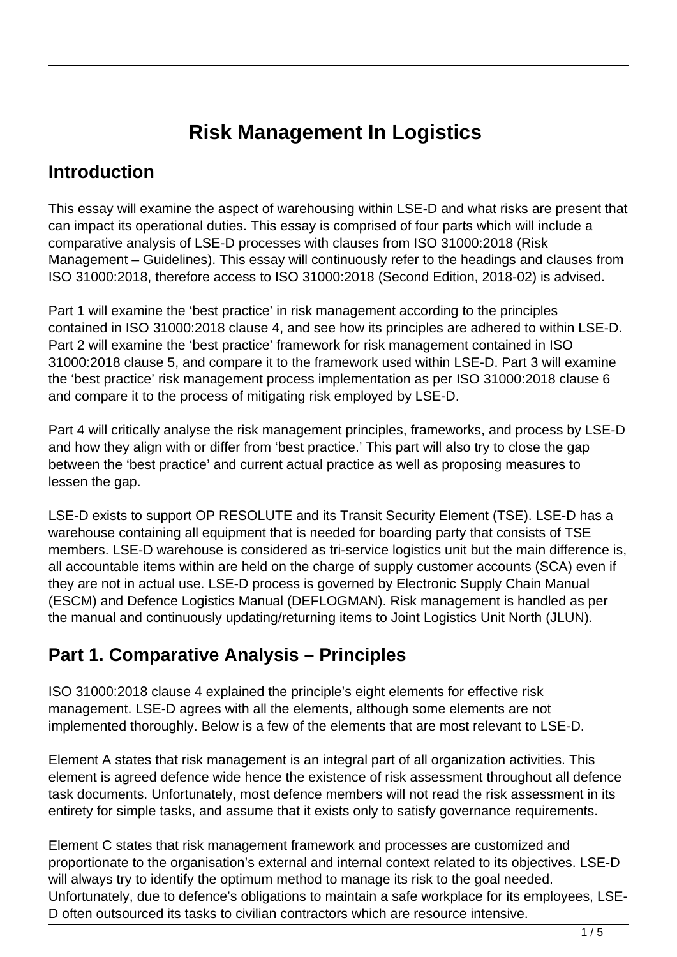# **Risk Management In Logistics**

### **Introduction**

This essay will examine the aspect of warehousing within LSE-D and what risks are present that can impact its operational duties. This essay is comprised of four parts which will include a comparative analysis of LSE-D processes with clauses from ISO 31000:2018 (Risk Management – Guidelines). This essay will continuously refer to the headings and clauses from ISO 31000:2018, therefore access to ISO 31000:2018 (Second Edition, 2018-02) is advised.

Part 1 will examine the 'best practice' in risk management according to the principles contained in ISO 31000:2018 clause 4, and see how its principles are adhered to within LSE-D. Part 2 will examine the 'best practice' framework for risk management contained in ISO 31000:2018 clause 5, and compare it to the framework used within LSE-D. Part 3 will examine the 'best practice' risk management process implementation as per ISO 31000:2018 clause 6 and compare it to the process of mitigating risk employed by LSE-D.

Part 4 will critically analyse the risk management principles, frameworks, and process by LSE-D and how they align with or differ from 'best practice.' This part will also try to close the gap between the 'best practice' and current actual practice as well as proposing measures to lessen the gap.

LSE-D exists to support OP RESOLUTE and its Transit Security Element (TSE). LSE-D has a warehouse containing all equipment that is needed for boarding party that consists of TSE members. LSE-D warehouse is considered as tri-service logistics unit but the main difference is, all accountable items within are held on the charge of supply customer accounts (SCA) even if they are not in actual use. LSE-D process is governed by Electronic Supply Chain Manual (ESCM) and Defence Logistics Manual (DEFLOGMAN). Risk management is handled as per the manual and continuously updating/returning items to Joint Logistics Unit North (JLUN).

## **Part 1. Comparative Analysis – Principles**

ISO 31000:2018 clause 4 explained the principle's eight elements for effective risk management. LSE-D agrees with all the elements, although some elements are not implemented thoroughly. Below is a few of the elements that are most relevant to LSE-D.

Element A states that risk management is an integral part of all organization activities. This element is agreed defence wide hence the existence of risk assessment throughout all defence task documents. Unfortunately, most defence members will not read the risk assessment in its entirety for simple tasks, and assume that it exists only to satisfy governance requirements.

Element C states that risk management framework and processes are customized and proportionate to the organisation's external and internal context related to its objectives. LSE-D will always try to identify the optimum method to manage its risk to the goal needed. Unfortunately, due to defence's obligations to maintain a safe workplace for its employees, LSE-D often outsourced its tasks to civilian contractors which are resource intensive.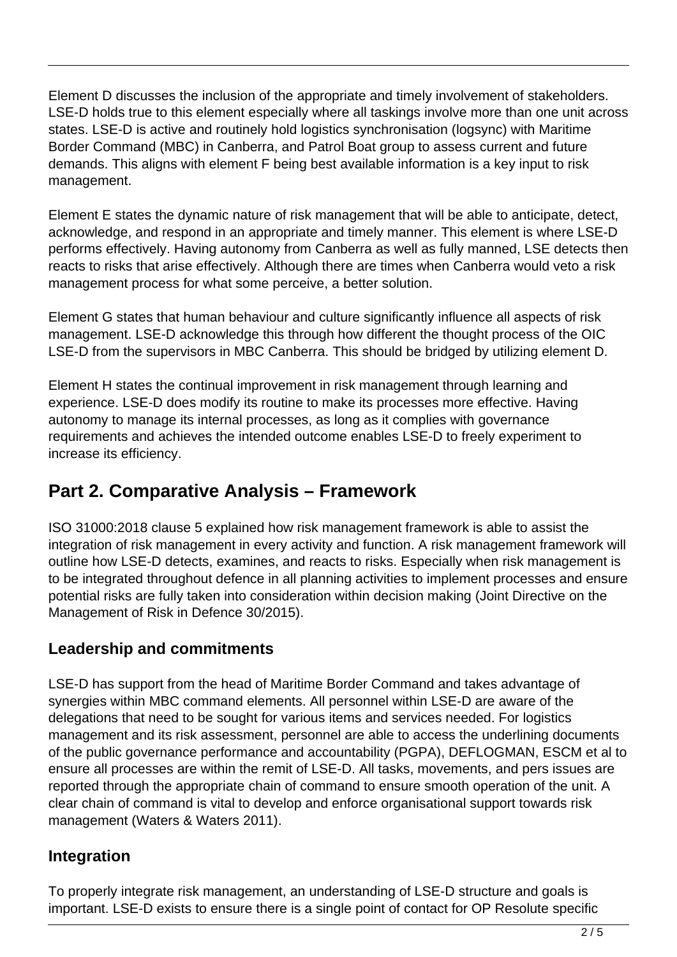Element D discusses the inclusion of the appropriate and timely involvement of stakeholders. LSE-D holds true to this element especially where all taskings involve more than one unit across states. LSE-D is active and routinely hold logistics synchronisation (logsync) with Maritime Border Command (MBC) in Canberra, and Patrol Boat group to assess current and future demands. This aligns with element F being best available information is a key input to risk management.

Element E states the dynamic nature of risk management that will be able to anticipate, detect, acknowledge, and respond in an appropriate and timely manner. This element is where LSE-D performs effectively. Having autonomy from Canberra as well as fully manned, LSE detects then reacts to risks that arise effectively. Although there are times when Canberra would veto a risk management process for what some perceive, a better solution.

Element G states that human behaviour and culture significantly influence all aspects of risk management. LSE-D acknowledge this through how different the thought process of the OIC LSE-D from the supervisors in MBC Canberra. This should be bridged by utilizing element D.

Element H states the continual improvement in risk management through learning and experience. LSE-D does modify its routine to make its processes more effective. Having autonomy to manage its internal processes, as long as it complies with governance requirements and achieves the intended outcome enables LSE-D to freely experiment to increase its efficiency.

# **Part 2. Comparative Analysis – Framework**

ISO 31000:2018 clause 5 explained how risk management framework is able to assist the integration of risk management in every activity and function. A risk management framework will outline how LSE-D detects, examines, and reacts to risks. Especially when risk management is to be integrated throughout defence in all planning activities to implement processes and ensure potential risks are fully taken into consideration within decision making (Joint Directive on the Management of Risk in Defence 30/2015).

### **Leadership and commitments**

LSE-D has support from the head of Maritime Border Command and takes advantage of synergies within MBC command elements. All personnel within LSE-D are aware of the delegations that need to be sought for various items and services needed. For logistics management and its risk assessment, personnel are able to access the underlining documents of the public governance performance and accountability (PGPA), DEFLOGMAN, ESCM et al to ensure all processes are within the remit of LSE-D. All tasks, movements, and pers issues are reported through the appropriate chain of command to ensure smooth operation of the unit. A clear chain of command is vital to develop and enforce organisational support towards risk management (Waters & Waters 2011).

### **Integration**

To properly integrate risk management, an understanding of LSE-D structure and goals is important. LSE-D exists to ensure there is a single point of contact for OP Resolute specific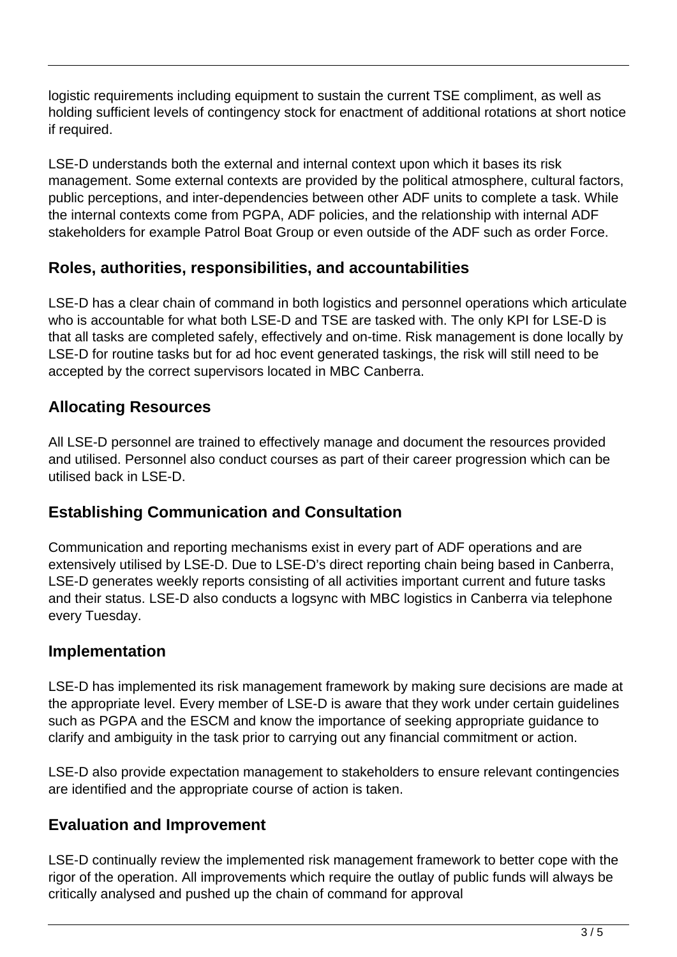logistic requirements including equipment to sustain the current TSE compliment, as well as holding sufficient levels of contingency stock for enactment of additional rotations at short notice if required.

LSE-D understands both the external and internal context upon which it bases its risk management. Some external contexts are provided by the political atmosphere, cultural factors, public perceptions, and inter-dependencies between other ADF units to complete a task. While the internal contexts come from PGPA, ADF policies, and the relationship with internal ADF stakeholders for example Patrol Boat Group or even outside of the ADF such as order Force.

#### **Roles, authorities, responsibilities, and accountabilities**

LSE-D has a clear chain of command in both logistics and personnel operations which articulate who is accountable for what both LSE-D and TSE are tasked with. The only KPI for LSE-D is that all tasks are completed safely, effectively and on-time. Risk management is done locally by LSE-D for routine tasks but for ad hoc event generated taskings, the risk will still need to be accepted by the correct supervisors located in MBC Canberra.

### **Allocating Resources**

All LSE-D personnel are trained to effectively manage and document the resources provided and utilised. Personnel also conduct courses as part of their career progression which can be utilised back in LSE-D.

### **Establishing Communication and Consultation**

Communication and reporting mechanisms exist in every part of ADF operations and are extensively utilised by LSE-D. Due to LSE-D's direct reporting chain being based in Canberra, LSE-D generates weekly reports consisting of all activities important current and future tasks and their status. LSE-D also conducts a logsync with MBC logistics in Canberra via telephone every Tuesday.

#### **Implementation**

LSE-D has implemented its risk management framework by making sure decisions are made at the appropriate level. Every member of LSE-D is aware that they work under certain guidelines such as PGPA and the ESCM and know the importance of seeking appropriate guidance to clarify and ambiguity in the task prior to carrying out any financial commitment or action.

LSE-D also provide expectation management to stakeholders to ensure relevant contingencies are identified and the appropriate course of action is taken.

#### **Evaluation and Improvement**

LSE-D continually review the implemented risk management framework to better cope with the rigor of the operation. All improvements which require the outlay of public funds will always be critically analysed and pushed up the chain of command for approval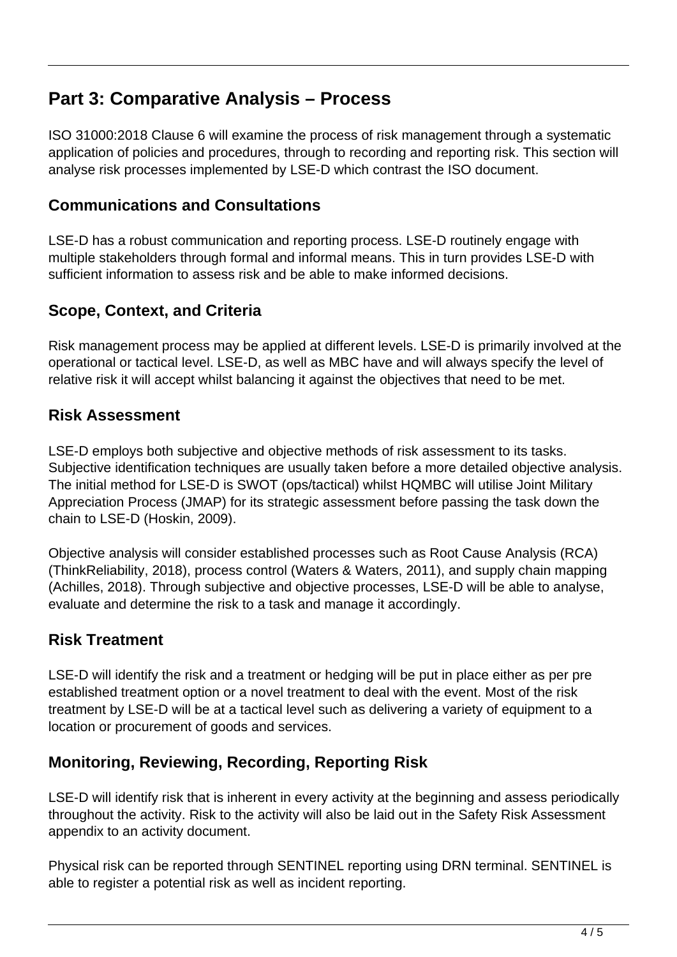### **Part 3: Comparative Analysis – Process**

ISO 31000:2018 Clause 6 will examine the process of risk management through a systematic application of policies and procedures, through to recording and reporting risk. This section will analyse risk processes implemented by LSE-D which contrast the ISO document.

#### **Communications and Consultations**

LSE-D has a robust communication and reporting process. LSE-D routinely engage with multiple stakeholders through formal and informal means. This in turn provides LSE-D with sufficient information to assess risk and be able to make informed decisions.

#### **Scope, Context, and Criteria**

Risk management process may be applied at different levels. LSE-D is primarily involved at the operational or tactical level. LSE-D, as well as MBC have and will always specify the level of relative risk it will accept whilst balancing it against the objectives that need to be met.

#### **Risk Assessment**

LSE-D employs both subjective and objective methods of risk assessment to its tasks. Subjective identification techniques are usually taken before a more detailed objective analysis. The initial method for LSE-D is SWOT (ops/tactical) whilst HQMBC will utilise Joint Military Appreciation Process (JMAP) for its strategic assessment before passing the task down the chain to LSE-D (Hoskin, 2009).

Objective analysis will consider established processes such as Root Cause Analysis (RCA) (ThinkReliability, 2018), process control (Waters & Waters, 2011), and supply chain mapping (Achilles, 2018). Through subjective and objective processes, LSE-D will be able to analyse, evaluate and determine the risk to a task and manage it accordingly.

#### **Risk Treatment**

LSE-D will identify the risk and a treatment or hedging will be put in place either as per pre established treatment option or a novel treatment to deal with the event. Most of the risk treatment by LSE-D will be at a tactical level such as delivering a variety of equipment to a location or procurement of goods and services.

#### **Monitoring, Reviewing, Recording, Reporting Risk**

LSE-D will identify risk that is inherent in every activity at the beginning and assess periodically throughout the activity. Risk to the activity will also be laid out in the Safety Risk Assessment appendix to an activity document.

Physical risk can be reported through SENTINEL reporting using DRN terminal. SENTINEL is able to register a potential risk as well as incident reporting.